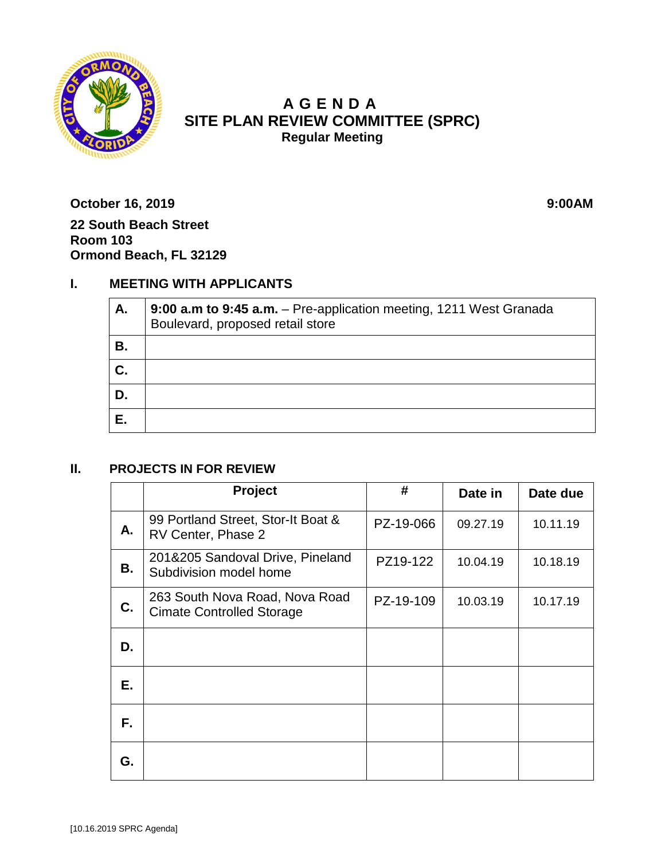

# **A GENDA SITE PLAN REVIEW COMMITTEE (SPRC) Regular Meeting**

**October 16, 2019 9:00AM 22 South Beach Street Room 103 Ormond Beach, FL 32129**

## **I. MEETING WITH APPLICANTS**

| А. | 9:00 a.m to 9:45 a.m. - Pre-application meeting, 1211 West Granada<br>Boulevard, proposed retail store |  |  |
|----|--------------------------------------------------------------------------------------------------------|--|--|
| В. |                                                                                                        |  |  |
| C. |                                                                                                        |  |  |
| D. |                                                                                                        |  |  |
| E. |                                                                                                        |  |  |

### **II. PROJECTS IN FOR REVIEW**

|    | Project                                                            | #         | Date in  | Date due |
|----|--------------------------------------------------------------------|-----------|----------|----------|
| А. | 99 Portland Street, Stor-It Boat &<br>RV Center, Phase 2           | PZ-19-066 | 09.27.19 | 10.11.19 |
| В. | 201&205 Sandoval Drive, Pineland<br>Subdivision model home         | PZ19-122  | 10.04.19 | 10.18.19 |
| C. | 263 South Nova Road, Nova Road<br><b>Cimate Controlled Storage</b> | PZ-19-109 | 10.03.19 | 10.17.19 |
| D. |                                                                    |           |          |          |
| Е. |                                                                    |           |          |          |
| F. |                                                                    |           |          |          |
| G. |                                                                    |           |          |          |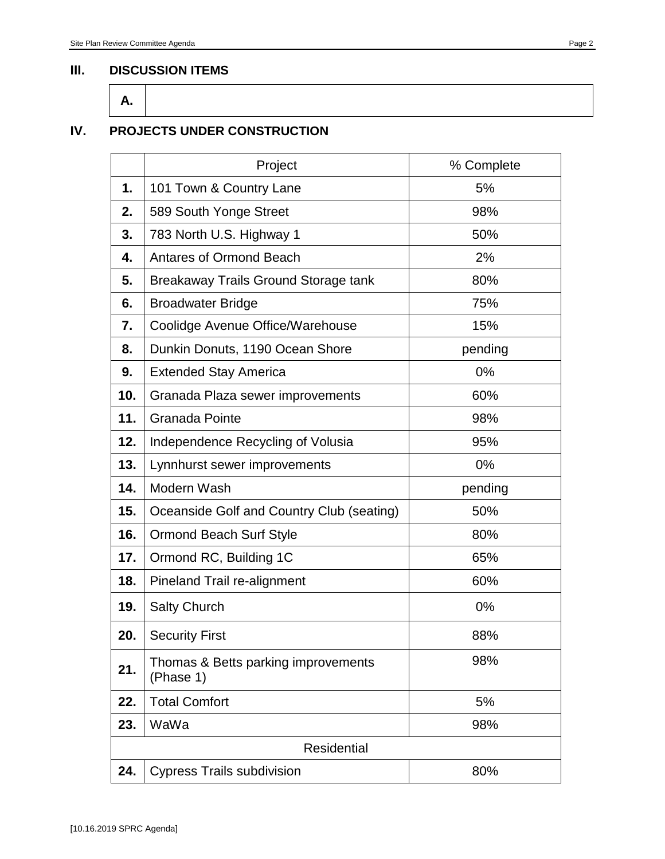#### **III. DISCUSSION ITEMS**



### **IV. PROJECTS UNDER CONSTRUCTION**

|                    | Project                                          | % Complete |  |  |
|--------------------|--------------------------------------------------|------------|--|--|
| 1.                 | 101 Town & Country Lane                          | 5%         |  |  |
| 2.                 | 589 South Yonge Street                           | 98%        |  |  |
| 3.                 | 783 North U.S. Highway 1                         | 50%        |  |  |
| 4.                 | <b>Antares of Ormond Beach</b>                   | 2%         |  |  |
| 5.                 | Breakaway Trails Ground Storage tank             | 80%        |  |  |
| 6.                 | <b>Broadwater Bridge</b>                         | 75%        |  |  |
| 7.                 | Coolidge Avenue Office/Warehouse                 | 15%        |  |  |
| 8.                 | Dunkin Donuts, 1190 Ocean Shore                  | pending    |  |  |
| 9.                 | <b>Extended Stay America</b>                     | $0\%$      |  |  |
| 10.                | Granada Plaza sewer improvements                 | 60%        |  |  |
| 11.                | <b>Granada Pointe</b>                            | 98%        |  |  |
| 12.                | Independence Recycling of Volusia                | 95%        |  |  |
| 13.                | Lynnhurst sewer improvements                     | 0%         |  |  |
| 14.                | Modern Wash                                      | pending    |  |  |
| 15.                | Oceanside Golf and Country Club (seating)        | 50%        |  |  |
| 16.                | <b>Ormond Beach Surf Style</b>                   | 80%        |  |  |
| 17.                | Ormond RC, Building 1C                           | 65%        |  |  |
| 18.                | Pineland Trail re-alignment                      | 60%        |  |  |
| 19.                | <b>Salty Church</b>                              | 0%         |  |  |
| 20.                | <b>Security First</b>                            | 88%        |  |  |
| 21.                | Thomas & Betts parking improvements<br>(Phase 1) | 98%        |  |  |
| 22.                | <b>Total Comfort</b>                             | 5%         |  |  |
| 23.                | WaWa                                             | 98%        |  |  |
| <b>Residential</b> |                                                  |            |  |  |
| 24.                | <b>Cypress Trails subdivision</b>                | 80%        |  |  |